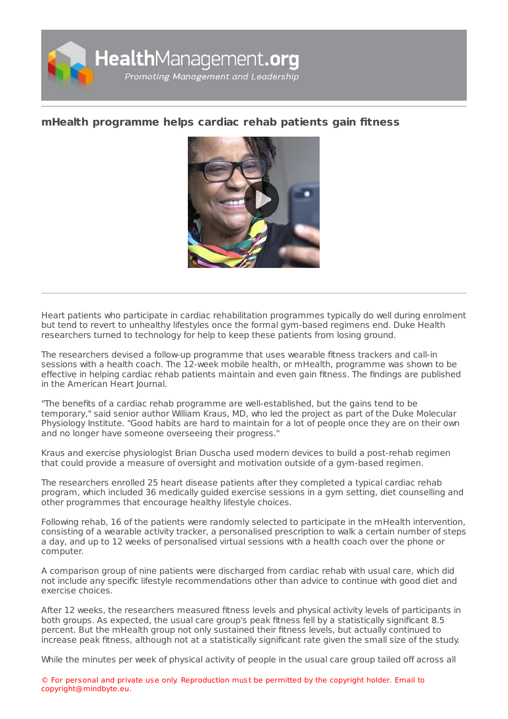

## **mHealth [programme](https://healthmanagement.org/s/mhealth-programme-helps-cardiac-rehab-patients-gain-fitness) helps cardiac rehab patients gain fitness**



Heart patients who participate in cardiac rehabilitation programmes typically do well during enrolment but tend to revert to unhealthy lifestyles once the formal gym-based regimens end. Duke Health researchers turned to technology for help to keep these patients from losing ground.

The researchers devised a follow-up programme that uses wearable fitness trackers and call-in sessions with a health coach. The 12-week mobile health, or mHealth, programme was shown to be effective in helping cardiac rehab patients maintain and even gain fitness. The findings are published in the American Heart Journal.

"The benefits of a cardiac rehab programme are well-established, but the gains tend to be temporary," said senior author William Kraus, MD, who led the project as part of the Duke Molecular Physiology Institute. "Good habits are hard to maintain for a lot of people once they are on their own and no longer have someone overseeing their progress."

Kraus and exercise physiologist Brian Duscha used modern devices to build a post-rehab regimen that could provide a measure of oversight and motivation outside of a gym-based regimen.

The researchers enrolled 25 heart disease patients after they completed a typical cardiac rehab program, which included 36 medically guided exercise sessions in a gym setting, diet counselling and other programmes that encourage healthy lifestyle choices.

Following rehab, 16 of the patients were randomly selected to participate in the mHealth intervention, consisting of a wearable activity tracker, a personalised prescription to walk a certain number of steps a day, and up to 12 weeks of personalised virtual sessions with a health coach over the phone or computer.

A comparison group of nine patients were discharged from cardiac rehab with usual care, which did not include any specific lifestyle recommendations other than advice to continue with good diet and exercise choices.

After 12 weeks, the researchers measured fitness levels and physical activity levels of participants in both groups. As expected, the usual care group's peak fitness fell by a statistically significant 8.5 percent. But the mHealth group not only sustained their fitness levels, but actually continued to increase peak fitness, although not at a statistically significant rate given the small size of the study.

While the minutes per week of physical activity of people in the usual care group tailed off across all

© For personal and private use only. Reproduction must be permitted by the copyright holder. Email to copyright@mindbyte.eu.